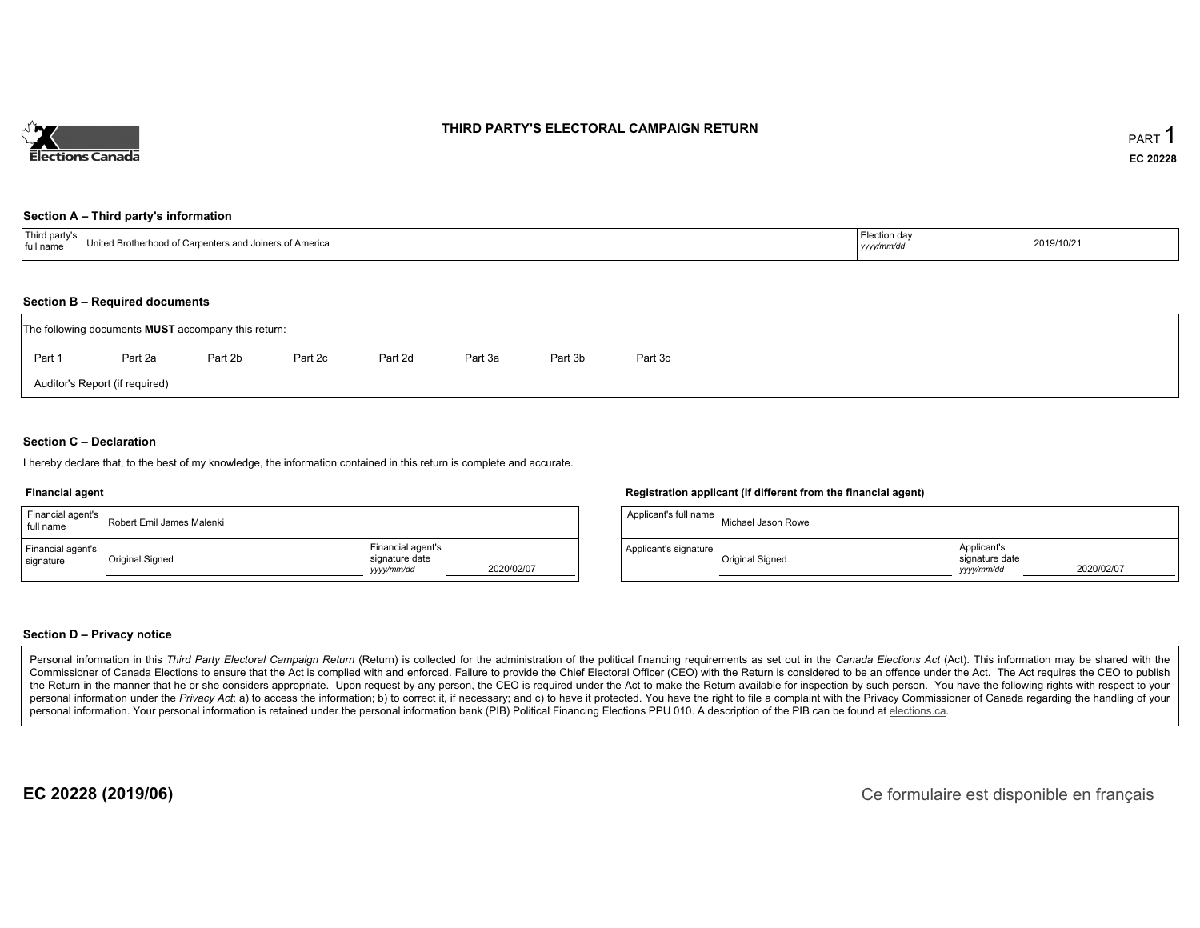

### **THIRD PARTY'S ELECTORAL CAMPAIGN RETURN**

#### **Section A – Third party's information**

| ----<br>United Brotherhood of Carpe.<br>$\sim$ ntoro<br>Callers and Joiners of America<br>া tull nam∈<br><b>..</b> | Election day<br>уууулттус | 2019/10/21 |
|--------------------------------------------------------------------------------------------------------------------|---------------------------|------------|
|--------------------------------------------------------------------------------------------------------------------|---------------------------|------------|

#### **Section B – Required documents**

|        | The following documents <b>MUST</b> accompany this return: |         |         |         |         |         |         |  |
|--------|------------------------------------------------------------|---------|---------|---------|---------|---------|---------|--|
| Part 1 | Part 2a                                                    | Part 2b | Part 2c | Part 2d | Part 3a | Part 3b | Part 3c |  |
|        | Auditor's Report (if required)                             |         |         |         |         |         |         |  |

### **Section C – Declaration**

I hereby declare that, to the best of my knowledge, the information contained in this return is complete and accurate.

#### **Financial agent**

| Financial agent's<br>full name | Robert Emil James Malenki |                                                   |            |
|--------------------------------|---------------------------|---------------------------------------------------|------------|
| Financial agent's<br>signature | Original Signed           | Financial agent's<br>signature date<br>yyyy/mm/dd | 2020/02/07 |

#### **Registration applicant (if different from the financial agent)**

| Applicant's full name | Michael Jason Rowe |                                             |            |
|-----------------------|--------------------|---------------------------------------------|------------|
| Applicant's signature | Original Signed    | Applicant's<br>signature date<br>vyyy/mm/dd | 2020/02/07 |

### **Section D – Privacy notice**

Personal information in this Third Party Electoral Campaign Return (Return) is collected for the administration of the political financing requirements as set out in the Canada Elections Act (Act). This information may be Commissioner of Canada Elections to ensure that the Act is complied with and enforced. Failure to provide the Chief Electoral Officer (CEO) with the Return is considered to be an offence under the Act. The Act requires the the Return in the manner that he or she considers appropriate. Upon request by any person, the CEO is required under the Act to make the Return available for inspection by such person. You have the following rights with re personal information under the Privacy Act: a) to access the information; b) to correct it, if necessary; and c) to have it protected. You have the right to file a complaint with the Privacy Commissioner of Canada regardin personal information. Your personal information is retained under the personal information bank (PIB) Political Financing Elections PPU 010. A description of the PIB can be found at elections.ca.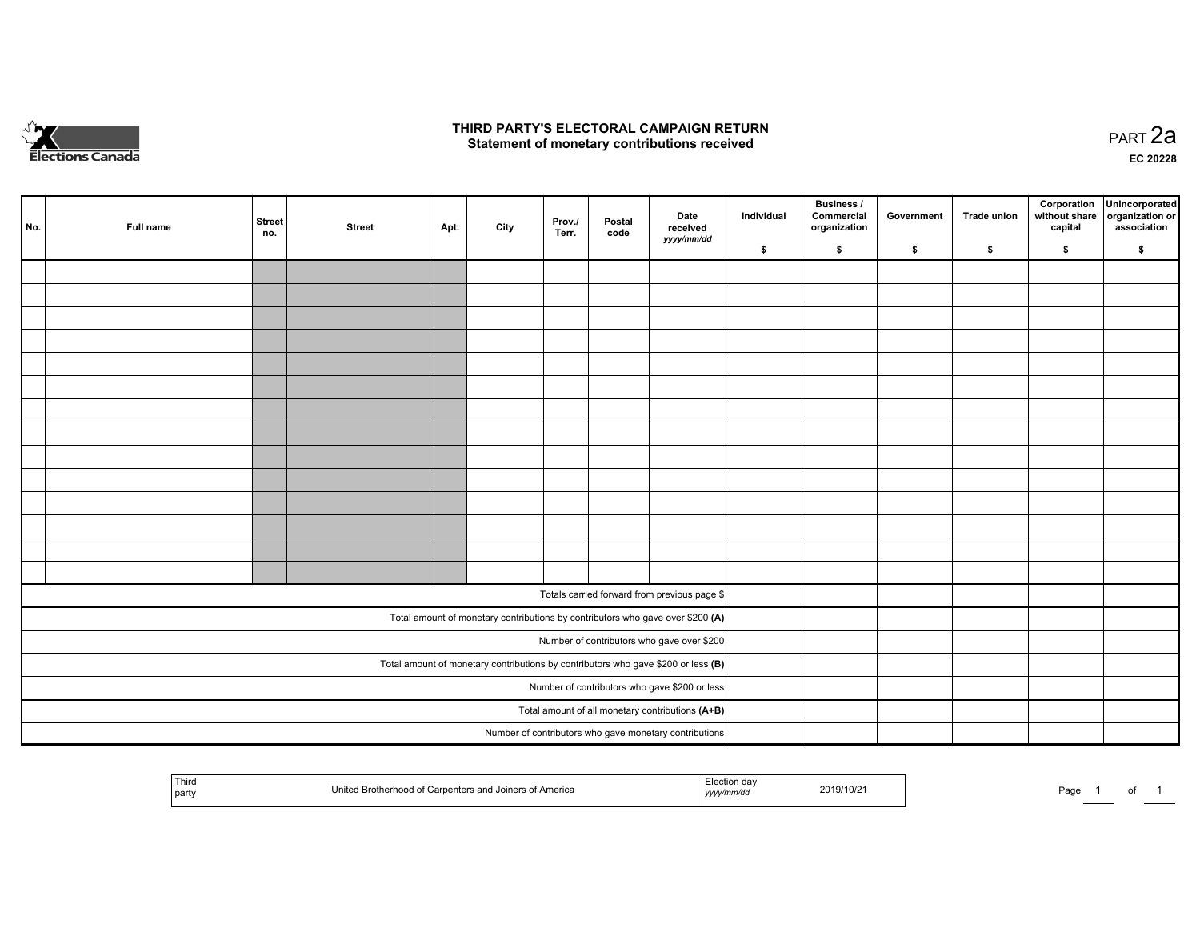

### **THIRD PARTY'S ELECTORAL CAMPAIGN RETURN HIRD PARTY'S ELECTORAL CAMPAIGN RETURN<br>Statement of monetary contributions received PART 2a PART 2a**

**EC 20228**

| No. | Full name                                                                           | <b>Street</b><br>no.                          | <b>Street</b>                                    | Apt. | City | Prov./<br>Terr. | Postal<br>code | Date<br>received                                                               | Individual | <b>Business /</b><br>Commercial<br>organization | Government | Trade union | Corporation<br>without share<br>capital | Unincorporated<br>organization or<br>association |
|-----|-------------------------------------------------------------------------------------|-----------------------------------------------|--------------------------------------------------|------|------|-----------------|----------------|--------------------------------------------------------------------------------|------------|-------------------------------------------------|------------|-------------|-----------------------------------------|--------------------------------------------------|
|     |                                                                                     |                                               |                                                  |      |      |                 |                | yyyy/mm/dd                                                                     | \$         | \$                                              | \$         | \$          | \$                                      | \$                                               |
|     |                                                                                     |                                               |                                                  |      |      |                 |                |                                                                                |            |                                                 |            |             |                                         |                                                  |
|     |                                                                                     |                                               |                                                  |      |      |                 |                |                                                                                |            |                                                 |            |             |                                         |                                                  |
|     |                                                                                     |                                               |                                                  |      |      |                 |                |                                                                                |            |                                                 |            |             |                                         |                                                  |
|     |                                                                                     |                                               |                                                  |      |      |                 |                |                                                                                |            |                                                 |            |             |                                         |                                                  |
|     |                                                                                     |                                               |                                                  |      |      |                 |                |                                                                                |            |                                                 |            |             |                                         |                                                  |
|     |                                                                                     |                                               |                                                  |      |      |                 |                |                                                                                |            |                                                 |            |             |                                         |                                                  |
|     |                                                                                     |                                               |                                                  |      |      |                 |                |                                                                                |            |                                                 |            |             |                                         |                                                  |
|     |                                                                                     |                                               |                                                  |      |      |                 |                |                                                                                |            |                                                 |            |             |                                         |                                                  |
|     |                                                                                     |                                               |                                                  |      |      |                 |                |                                                                                |            |                                                 |            |             |                                         |                                                  |
|     |                                                                                     |                                               |                                                  |      |      |                 |                |                                                                                |            |                                                 |            |             |                                         |                                                  |
|     |                                                                                     |                                               |                                                  |      |      |                 |                |                                                                                |            |                                                 |            |             |                                         |                                                  |
|     |                                                                                     |                                               |                                                  |      |      |                 |                |                                                                                |            |                                                 |            |             |                                         |                                                  |
|     |                                                                                     |                                               |                                                  |      |      |                 |                |                                                                                |            |                                                 |            |             |                                         |                                                  |
|     |                                                                                     |                                               |                                                  |      |      |                 |                |                                                                                |            |                                                 |            |             |                                         |                                                  |
|     |                                                                                     |                                               |                                                  |      |      |                 |                | Totals carried forward from previous page \$                                   |            |                                                 |            |             |                                         |                                                  |
|     |                                                                                     |                                               |                                                  |      |      |                 |                | Total amount of monetary contributions by contributors who gave over \$200 (A) |            |                                                 |            |             |                                         |                                                  |
|     | Number of contributors who gave over \$200                                          |                                               |                                                  |      |      |                 |                |                                                                                |            |                                                 |            |             |                                         |                                                  |
|     | Total amount of monetary contributions by contributors who gave \$200 or less $(B)$ |                                               |                                                  |      |      |                 |                |                                                                                |            |                                                 |            |             |                                         |                                                  |
|     |                                                                                     | Number of contributors who gave \$200 or less |                                                  |      |      |                 |                |                                                                                |            |                                                 |            |             |                                         |                                                  |
|     |                                                                                     |                                               | Total amount of all monetary contributions (A+B) |      |      |                 |                |                                                                                |            |                                                 |            |             |                                         |                                                  |
|     |                                                                                     |                                               |                                                  |      |      |                 |                | Number of contributors who gave monetary contributions                         |            |                                                 |            |             |                                         |                                                  |

|  | Thira<br>party | United Brotherhood of Carpenters and Joiners of America | on dav<br>,,,,, | 2019/10/21 | Page |  | $\cdot$ |  |
|--|----------------|---------------------------------------------------------|-----------------|------------|------|--|---------|--|
|--|----------------|---------------------------------------------------------|-----------------|------------|------|--|---------|--|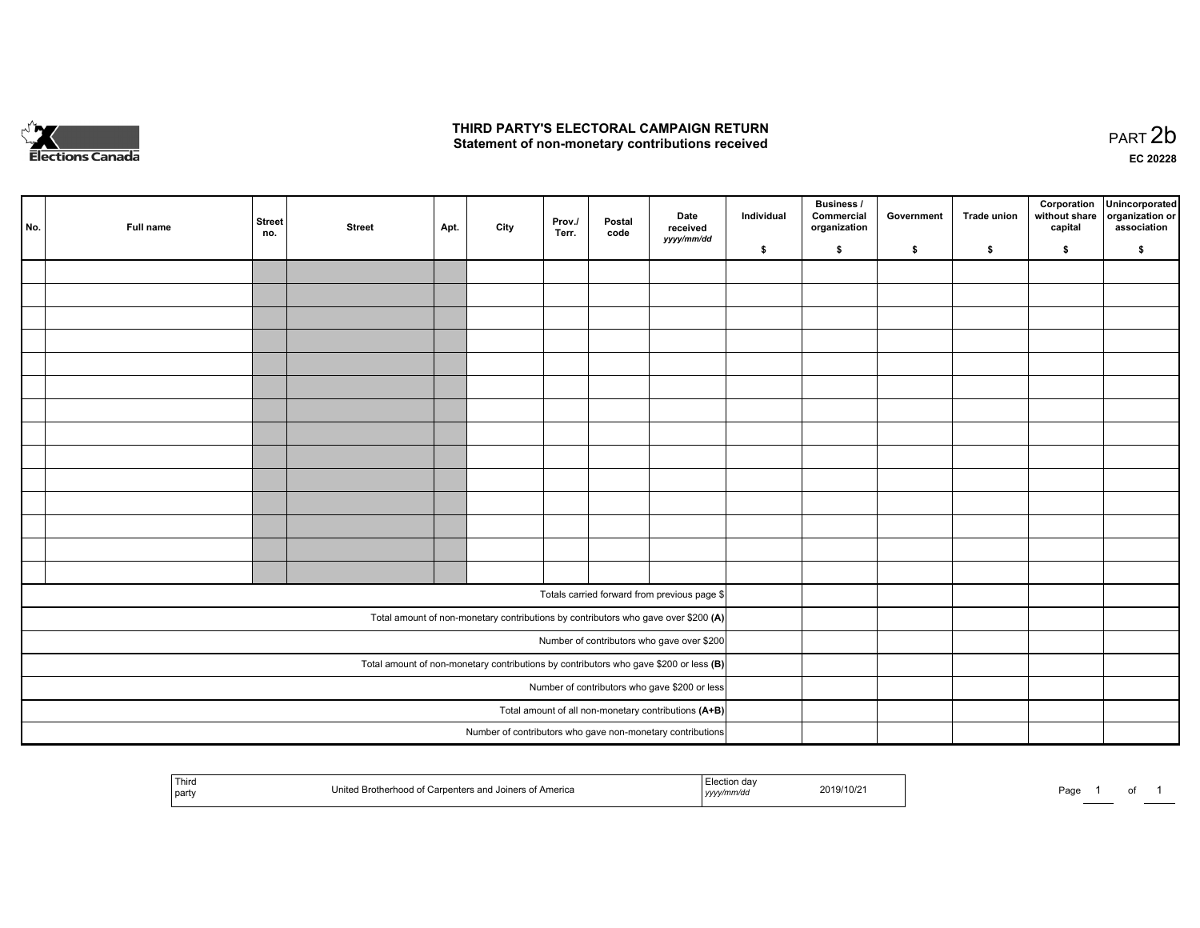

# **THIRD PARTY'S ELECTORAL CAMPAIGN RETURN**  THIRD PARTY'S ELECTORAL CAMPAIGN RETURN<br>Statement of non-monetary contributions received

| No. | Full name | <b>Street</b><br>no.                                 | <b>Street</b> | Apt. | City | Prov./<br>Terr. | Postal<br>code | Date<br>received                                                                        | Individual | <b>Business /</b><br>Commercial<br>organization | Government | <b>Trade union</b> | capital | Corporation Unincorporated<br>without share organization or<br>association |
|-----|-----------|------------------------------------------------------|---------------|------|------|-----------------|----------------|-----------------------------------------------------------------------------------------|------------|-------------------------------------------------|------------|--------------------|---------|----------------------------------------------------------------------------|
|     |           |                                                      |               |      |      |                 |                | yyyy/mm/dd                                                                              | \$         | $\mathbf{s}$                                    | \$         | \$                 | \$      | \$                                                                         |
|     |           |                                                      |               |      |      |                 |                |                                                                                         |            |                                                 |            |                    |         |                                                                            |
|     |           |                                                      |               |      |      |                 |                |                                                                                         |            |                                                 |            |                    |         |                                                                            |
|     |           |                                                      |               |      |      |                 |                |                                                                                         |            |                                                 |            |                    |         |                                                                            |
|     |           |                                                      |               |      |      |                 |                |                                                                                         |            |                                                 |            |                    |         |                                                                            |
|     |           |                                                      |               |      |      |                 |                |                                                                                         |            |                                                 |            |                    |         |                                                                            |
|     |           |                                                      |               |      |      |                 |                |                                                                                         |            |                                                 |            |                    |         |                                                                            |
|     |           |                                                      |               |      |      |                 |                |                                                                                         |            |                                                 |            |                    |         |                                                                            |
|     |           |                                                      |               |      |      |                 |                |                                                                                         |            |                                                 |            |                    |         |                                                                            |
|     |           |                                                      |               |      |      |                 |                |                                                                                         |            |                                                 |            |                    |         |                                                                            |
|     |           |                                                      |               |      |      |                 |                |                                                                                         |            |                                                 |            |                    |         |                                                                            |
|     |           |                                                      |               |      |      |                 |                |                                                                                         |            |                                                 |            |                    |         |                                                                            |
|     |           |                                                      |               |      |      |                 |                |                                                                                         |            |                                                 |            |                    |         |                                                                            |
|     |           |                                                      |               |      |      |                 |                |                                                                                         |            |                                                 |            |                    |         |                                                                            |
|     |           |                                                      |               |      |      |                 |                |                                                                                         |            |                                                 |            |                    |         |                                                                            |
|     |           |                                                      |               |      |      |                 |                | Totals carried forward from previous page \$                                            |            |                                                 |            |                    |         |                                                                            |
|     |           |                                                      |               |      |      |                 |                | Total amount of non-monetary contributions by contributors who gave over \$200 (A)      |            |                                                 |            |                    |         |                                                                            |
|     |           |                                                      |               |      |      |                 |                | Number of contributors who gave over \$200                                              |            |                                                 |            |                    |         |                                                                            |
|     |           |                                                      |               |      |      |                 |                | Total amount of non-monetary contributions by contributors who gave \$200 or less $(B)$ |            |                                                 |            |                    |         |                                                                            |
|     |           | Number of contributors who gave \$200 or less        |               |      |      |                 |                |                                                                                         |            |                                                 |            |                    |         |                                                                            |
|     |           | Total amount of all non-monetary contributions (A+B) |               |      |      |                 |                |                                                                                         |            |                                                 |            |                    |         |                                                                            |
|     |           |                                                      |               |      |      |                 |                |                                                                                         |            |                                                 |            |                    |         |                                                                            |
|     |           |                                                      |               |      |      |                 |                | Number of contributors who gave non-monetary contributions                              |            |                                                 |            |                    |         |                                                                            |

| Third<br><b>America</b><br>ווה הו<br>  party<br>  <i>yyyy</i> | 2019/10/2 | Page |  |  |  |
|---------------------------------------------------------------|-----------|------|--|--|--|
|---------------------------------------------------------------|-----------|------|--|--|--|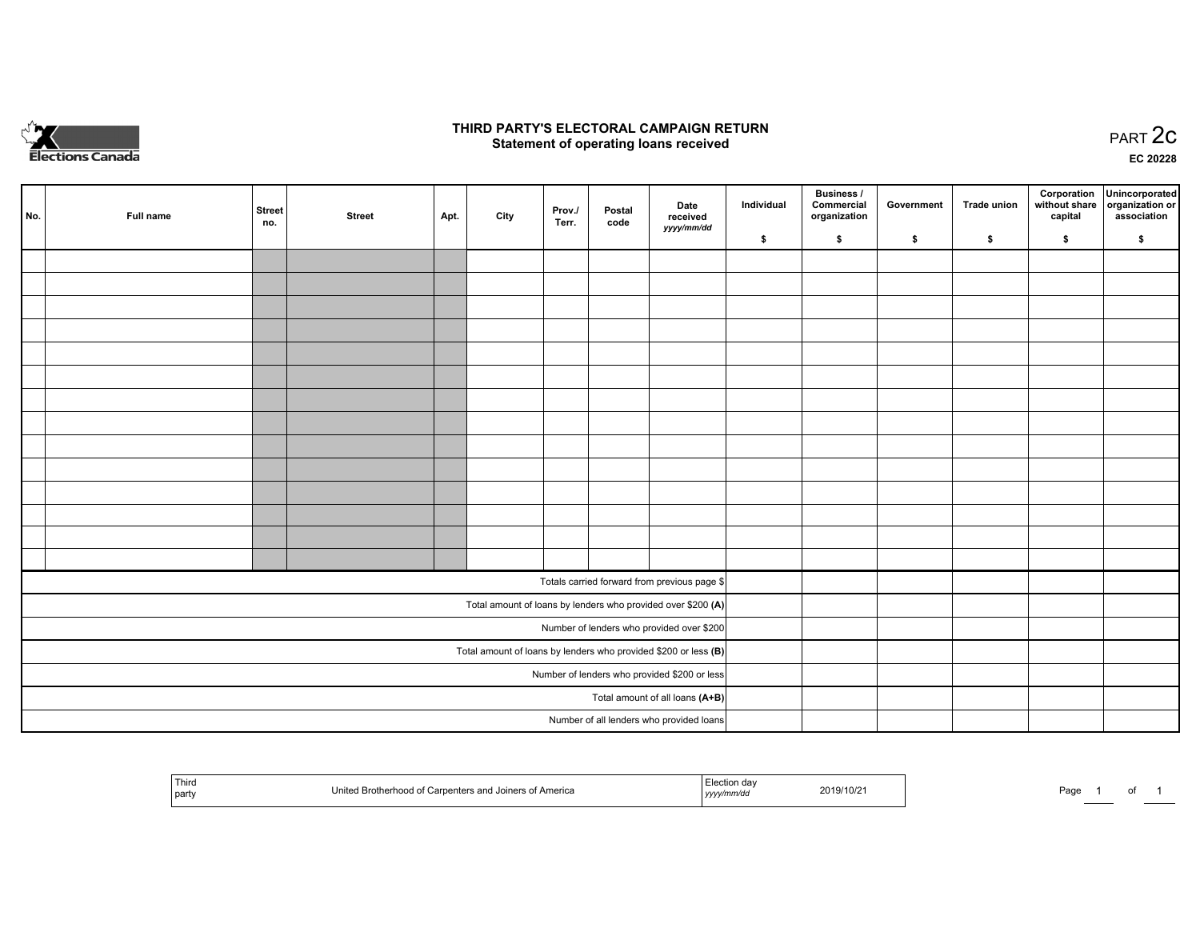

## **THIRD PARTY'S ELECTORAL CAMPAIGN RETURN STATE:** PRACT OF OPPRESS TO PART 2C STATE STATE STATE STATE STATE STATE STATE STATE STATE STATE STATE STATE STA<br>PART 2C Statement of operating loans received

**EC 20228**

| No. | Full name                                                         | <b>Street</b><br>no.            | <b>Street</b> | Apt. | City | Prov./<br>Terr. | Postal<br>code | Date<br>received                                             | Individual | <b>Business /</b><br>Commercial<br>organization | Government | Trade union | Corporation<br>capital | Unincorporated<br>without share organization or<br>association |
|-----|-------------------------------------------------------------------|---------------------------------|---------------|------|------|-----------------|----------------|--------------------------------------------------------------|------------|-------------------------------------------------|------------|-------------|------------------------|----------------------------------------------------------------|
|     |                                                                   |                                 |               |      |      |                 |                | yyyy/mm/dd                                                   | \$         | \$                                              | \$         | \$          | \$                     | \$                                                             |
|     |                                                                   |                                 |               |      |      |                 |                |                                                              |            |                                                 |            |             |                        |                                                                |
|     |                                                                   |                                 |               |      |      |                 |                |                                                              |            |                                                 |            |             |                        |                                                                |
|     |                                                                   |                                 |               |      |      |                 |                |                                                              |            |                                                 |            |             |                        |                                                                |
|     |                                                                   |                                 |               |      |      |                 |                |                                                              |            |                                                 |            |             |                        |                                                                |
|     |                                                                   |                                 |               |      |      |                 |                |                                                              |            |                                                 |            |             |                        |                                                                |
|     |                                                                   |                                 |               |      |      |                 |                |                                                              |            |                                                 |            |             |                        |                                                                |
|     |                                                                   |                                 |               |      |      |                 |                |                                                              |            |                                                 |            |             |                        |                                                                |
|     |                                                                   |                                 |               |      |      |                 |                |                                                              |            |                                                 |            |             |                        |                                                                |
|     |                                                                   |                                 |               |      |      |                 |                |                                                              |            |                                                 |            |             |                        |                                                                |
|     |                                                                   |                                 |               |      |      |                 |                |                                                              |            |                                                 |            |             |                        |                                                                |
|     |                                                                   |                                 |               |      |      |                 |                |                                                              |            |                                                 |            |             |                        |                                                                |
|     |                                                                   |                                 |               |      |      |                 |                |                                                              |            |                                                 |            |             |                        |                                                                |
|     |                                                                   |                                 |               |      |      |                 |                |                                                              |            |                                                 |            |             |                        |                                                                |
|     |                                                                   |                                 |               |      |      |                 |                |                                                              |            |                                                 |            |             |                        |                                                                |
|     |                                                                   |                                 |               |      |      |                 |                | Totals carried forward from previous page \$                 |            |                                                 |            |             |                        |                                                                |
|     |                                                                   |                                 |               |      |      |                 |                | Total amount of loans by lenders who provided over \$200 (A) |            |                                                 |            |             |                        |                                                                |
|     |                                                                   |                                 |               |      |      |                 |                | Number of lenders who provided over \$200                    |            |                                                 |            |             |                        |                                                                |
|     | Total amount of loans by lenders who provided \$200 or less $(B)$ |                                 |               |      |      |                 |                |                                                              |            |                                                 |            |             |                        |                                                                |
|     | Number of lenders who provided \$200 or less                      |                                 |               |      |      |                 |                |                                                              |            |                                                 |            |             |                        |                                                                |
|     |                                                                   | Total amount of all loans (A+B) |               |      |      |                 |                |                                                              |            |                                                 |            |             |                        |                                                                |
|     |                                                                   |                                 |               |      |      |                 |                | Number of all lenders who provided loans                     |            |                                                 |            |             |                        |                                                                |

|  | ' Third<br>party | ; of America | ,,,, | 2019/10/21 | Page |  | . |  |
|--|------------------|--------------|------|------------|------|--|---|--|
|--|------------------|--------------|------|------------|------|--|---|--|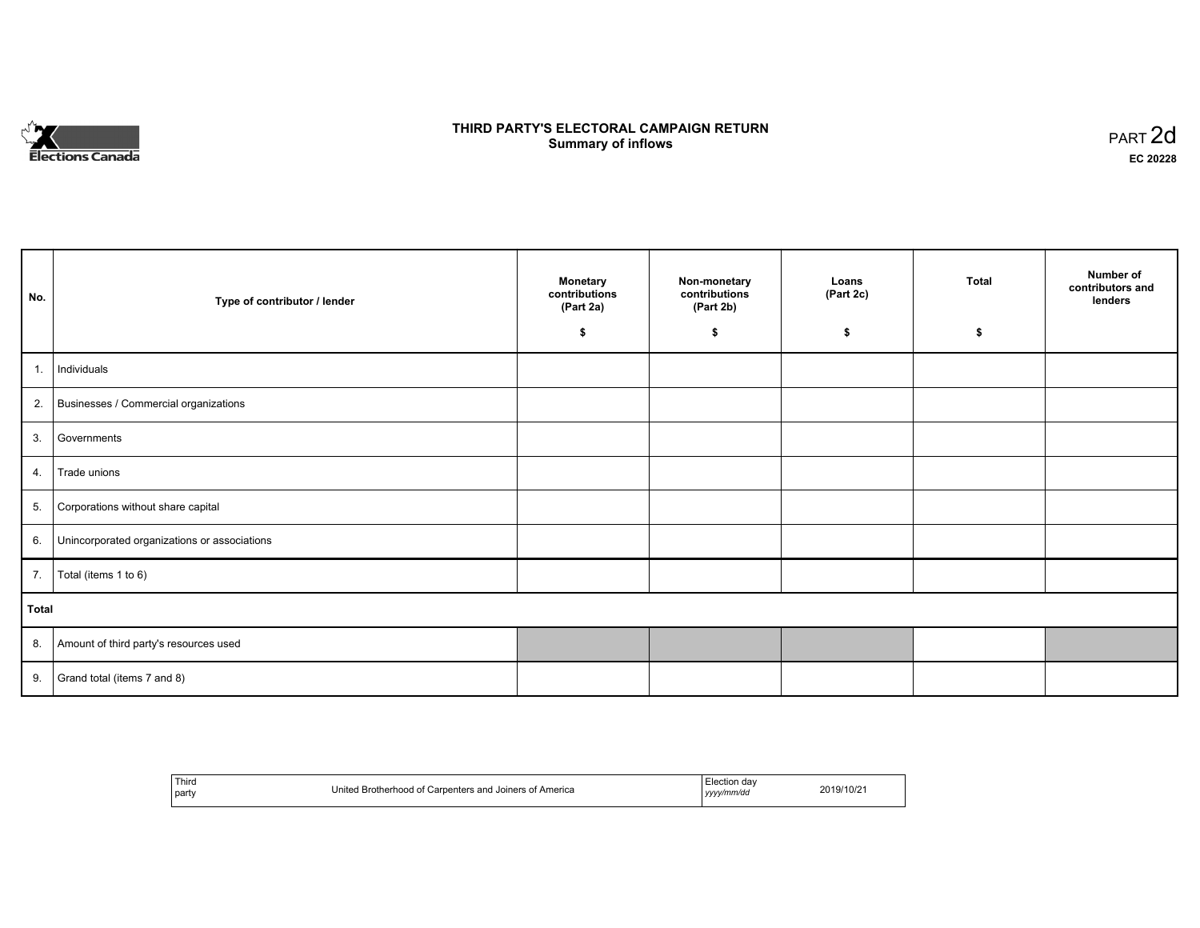

# **THIRD PARTY'S ELECTORAL CAMPAIGN RETURN S** ELECTORAL CAMPAIGN RETURN<br>Summary of inflows PART 2d

| No.   | Type of contributor / lender                    | <b>Monetary</b><br>contributions<br>(Part 2a) | Non-monetary<br>contributions<br>(Part 2b) | Loans<br>(Part 2c) | <b>Total</b> | Number of<br>contributors and<br>lenders |
|-------|-------------------------------------------------|-----------------------------------------------|--------------------------------------------|--------------------|--------------|------------------------------------------|
|       |                                                 | \$                                            | \$                                         | \$                 | \$           |                                          |
| 1.    | Individuals                                     |                                               |                                            |                    |              |                                          |
|       | 2. Businesses / Commercial organizations        |                                               |                                            |                    |              |                                          |
| 3.    | Governments                                     |                                               |                                            |                    |              |                                          |
| 4.    | Trade unions                                    |                                               |                                            |                    |              |                                          |
|       | 5. Corporations without share capital           |                                               |                                            |                    |              |                                          |
|       | 6. Unincorporated organizations or associations |                                               |                                            |                    |              |                                          |
|       | 7.   Total (items 1 to 6)                       |                                               |                                            |                    |              |                                          |
| Total |                                                 |                                               |                                            |                    |              |                                          |
|       | 8. Amount of third party's resources used       |                                               |                                            |                    |              |                                          |
| 9.    | Grand total (items 7 and 8)                     |                                               |                                            |                    |              |                                          |

| Third<br>⊟lection dav<br>Carpenters and Joiners of America<br>Brotherhood of<br>United<br>party<br>yyyy/mm/dd | 2019/10/2 |
|---------------------------------------------------------------------------------------------------------------|-----------|
|---------------------------------------------------------------------------------------------------------------|-----------|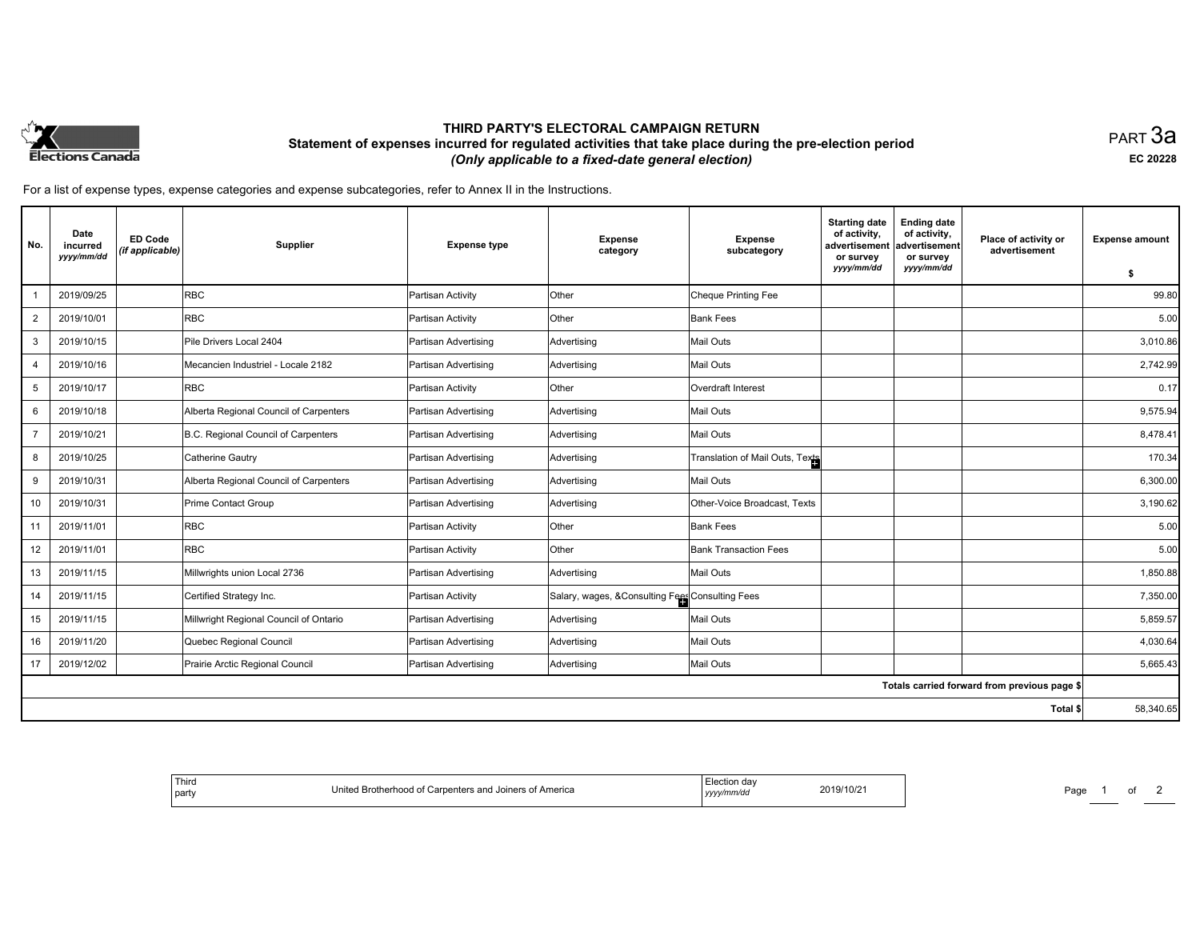

# **THIRD PARTY'S ELECTORAL CAMPAIGN RETURN Statement of expenses incurred for regulated activities that take place during the pre-election period**  *(Only applicable to a fixed-date general election)*

PART 3a **EC 20228**

For a list of expense types, expense categories and expense subcategories, refer to Annex II in the Instructions.

| No.            | Date<br>incurred<br>yyyy/mm/dd | <b>ED Code</b><br>(if applicable) | Supplier                               | <b>Expense type</b>  | <b>Expense</b><br>category                      | <b>Expense</b><br>subcategory   | <b>Starting date</b><br>of activity,<br>advertisement<br>or survey<br>yyyy/mm/dd | <b>Ending date</b><br>of activity,<br>advertisement<br>or survey<br>yyyy/mm/dd | Place of activity or<br>advertisement        | <b>Expense amount</b> |
|----------------|--------------------------------|-----------------------------------|----------------------------------------|----------------------|-------------------------------------------------|---------------------------------|----------------------------------------------------------------------------------|--------------------------------------------------------------------------------|----------------------------------------------|-----------------------|
|                |                                |                                   |                                        |                      |                                                 |                                 |                                                                                  |                                                                                |                                              | -\$                   |
|                | 2019/09/25                     |                                   | <b>RBC</b>                             | Partisan Activity    | Other                                           | Cheque Printing Fee             |                                                                                  |                                                                                |                                              | 99.80                 |
| 2              | 2019/10/01                     |                                   | <b>RBC</b>                             | Partisan Activity    | Other                                           | <b>Bank Fees</b>                |                                                                                  |                                                                                |                                              | 5.00                  |
| 3              | 2019/10/15                     |                                   | Pile Drivers Local 2404                | Partisan Advertising | Advertising                                     | <b>Mail Outs</b>                |                                                                                  |                                                                                |                                              | 3,010.86              |
| $\overline{4}$ | 2019/10/16                     |                                   | Mecancien Industriel - Locale 2182     | Partisan Advertising | Advertising                                     | <b>Mail Outs</b>                |                                                                                  |                                                                                |                                              | 2,742.99              |
| 5              | 2019/10/17                     |                                   | <b>RBC</b>                             | Partisan Activity    | <b>Other</b>                                    | Overdraft Interest              |                                                                                  |                                                                                |                                              | 0.17                  |
| 6              | 2019/10/18                     |                                   | Alberta Regional Council of Carpenters | Partisan Advertising | Advertising                                     | <b>Mail Outs</b>                |                                                                                  |                                                                                |                                              | 9,575.94              |
| $\overline{7}$ | 2019/10/21                     |                                   | B.C. Regional Council of Carpenters    | Partisan Advertising | Advertising                                     | <b>Mail Outs</b>                |                                                                                  |                                                                                |                                              | 8,478.41              |
| 8              | 2019/10/25                     |                                   | Catherine Gautry                       | Partisan Advertising | Advertising                                     | Translation of Mail Outs, Texts |                                                                                  |                                                                                |                                              | 170.34                |
| 9              | 2019/10/31                     |                                   | Alberta Regional Council of Carpenters | Partisan Advertising | Advertising                                     | Mail Outs                       |                                                                                  |                                                                                |                                              | 6,300.00              |
| 10             | 2019/10/31                     |                                   | Prime Contact Group                    | Partisan Advertising | Advertising                                     | Other-Voice Broadcast, Texts    |                                                                                  |                                                                                |                                              | 3,190.62              |
| 11             | 2019/11/01                     |                                   | <b>RBC</b>                             | Partisan Activity    | Other                                           | <b>Bank Fees</b>                |                                                                                  |                                                                                |                                              | 5.00                  |
| 12             | 2019/11/01                     |                                   | <b>RBC</b>                             | Partisan Activity    | Other                                           | <b>Bank Transaction Fees</b>    |                                                                                  |                                                                                |                                              | 5.00                  |
| 13             | 2019/11/15                     |                                   | Millwrights union Local 2736           | Partisan Advertising | Advertising                                     | <b>Mail Outs</b>                |                                                                                  |                                                                                |                                              | 1,850.88              |
| 14             | 2019/11/15                     |                                   | Certified Strategy Inc.                | Partisan Activity    | Salary, wages, &Consulting Fees Consulting Fees |                                 |                                                                                  |                                                                                |                                              | 7,350.00              |
| 15             | 2019/11/15                     |                                   | Millwright Regional Council of Ontario | Partisan Advertising | Advertising                                     | Mail Outs                       |                                                                                  |                                                                                |                                              | 5,859.57              |
| 16             | 2019/11/20                     |                                   | Quebec Regional Council                | Partisan Advertising | Advertising                                     | <b>Mail Outs</b>                |                                                                                  |                                                                                |                                              | 4,030.64              |
| 17             | 2019/12/02                     |                                   | Prairie Arctic Regional Council        | Partisan Advertising | Advertising                                     | Mail Outs                       |                                                                                  |                                                                                |                                              | 5,665.43              |
|                |                                |                                   |                                        |                      |                                                 |                                 |                                                                                  |                                                                                | Totals carried forward from previous page \$ |                       |
|                |                                |                                   |                                        |                      |                                                 |                                 |                                                                                  |                                                                                | Total \$                                     | 58,340.65             |

| <sup>1</sup> Third<br>Joiners of America،<br>ed Brotherhood of Carpenters and .<br>Initor<br>  part | Flecti<br>Election day<br>2019/10/2<br>yyyymmvaa | Page |
|-----------------------------------------------------------------------------------------------------|--------------------------------------------------|------|
|-----------------------------------------------------------------------------------------------------|--------------------------------------------------|------|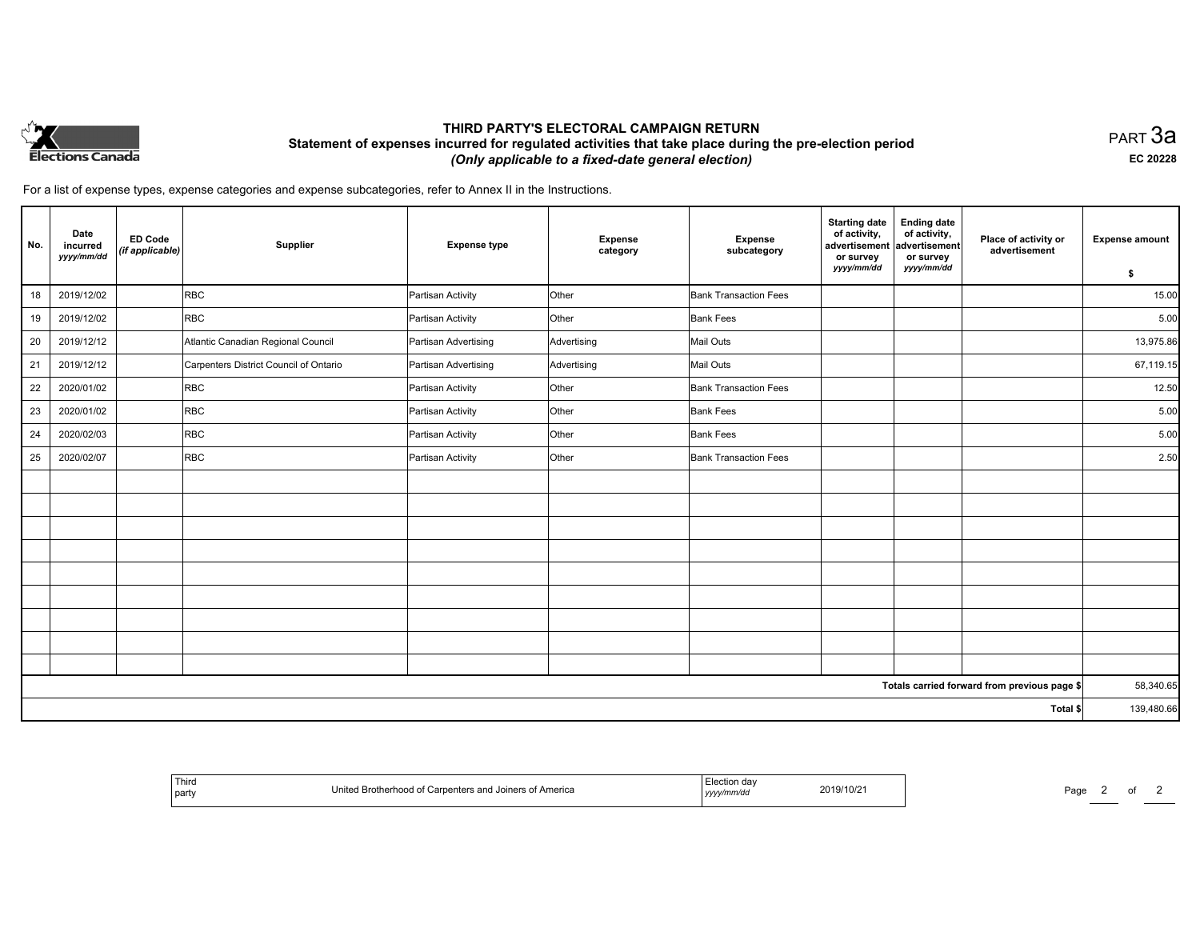

# **THIRD PARTY'S ELECTORAL CAMPAIGN RETURN Statement of expenses incurred for regulated activities that take place during the pre-election period**  *(Only applicable to a fixed-date general election)*

PART 3a **EC 20228**

For a list of expense types, expense categories and expense subcategories, refer to Annex II in the Instructions.

| No. | Date<br>incurred<br>yyyy/mm/dd | <b>ED Code</b><br>(if applicable) | Supplier                               | <b>Expense type</b>  | Expense<br>category | <b>Expense</b><br>subcategory | <b>Starting date</b><br>of activity,<br>advertisement<br>or survey<br>yyyy/mm/dd | <b>Ending date</b><br>of activity,<br>advertisement<br>or survey<br>yyyy/mm/dd | Place of activity or<br>advertisement        | <b>Expense amount</b><br>\$ |
|-----|--------------------------------|-----------------------------------|----------------------------------------|----------------------|---------------------|-------------------------------|----------------------------------------------------------------------------------|--------------------------------------------------------------------------------|----------------------------------------------|-----------------------------|
| 18  | 2019/12/02                     |                                   | <b>RBC</b>                             | Partisan Activity    | Other               | <b>Bank Transaction Fees</b>  |                                                                                  |                                                                                |                                              | 15.00                       |
| 19  | 2019/12/02                     |                                   | <b>RBC</b>                             | Partisan Activity    | Other               | <b>Bank Fees</b>              |                                                                                  |                                                                                |                                              | 5.00                        |
| 20  | 2019/12/12                     |                                   | Atlantic Canadian Regional Council     | Partisan Advertising | Advertising         | Mail Outs                     |                                                                                  |                                                                                |                                              | 13,975.86                   |
| 21  | 2019/12/12                     |                                   | Carpenters District Council of Ontario | Partisan Advertising | Advertising         | Mail Outs                     |                                                                                  |                                                                                |                                              | 67,119.15                   |
| 22  | 2020/01/02                     |                                   | <b>RBC</b>                             | Partisan Activity    | Other               | <b>Bank Transaction Fees</b>  |                                                                                  |                                                                                |                                              | 12.50                       |
| 23  | 2020/01/02                     |                                   | <b>RBC</b>                             | Partisan Activity    | Other               | <b>Bank Fees</b>              |                                                                                  |                                                                                |                                              | 5.00                        |
| 24  | 2020/02/03                     |                                   | <b>RBC</b>                             | Partisan Activity    | Other               | <b>Bank Fees</b>              |                                                                                  |                                                                                |                                              | 5.00                        |
| 25  | 2020/02/07                     |                                   | <b>RBC</b>                             | Partisan Activity    | Other               | <b>Bank Transaction Fees</b>  |                                                                                  |                                                                                |                                              | 2.50                        |
|     |                                |                                   |                                        |                      |                     |                               |                                                                                  |                                                                                |                                              |                             |
|     |                                |                                   |                                        |                      |                     |                               |                                                                                  |                                                                                |                                              |                             |
|     |                                |                                   |                                        |                      |                     |                               |                                                                                  |                                                                                |                                              |                             |
|     |                                |                                   |                                        |                      |                     |                               |                                                                                  |                                                                                |                                              |                             |
|     |                                |                                   |                                        |                      |                     |                               |                                                                                  |                                                                                |                                              |                             |
|     |                                |                                   |                                        |                      |                     |                               |                                                                                  |                                                                                |                                              |                             |
|     |                                |                                   |                                        |                      |                     |                               |                                                                                  |                                                                                |                                              |                             |
|     |                                |                                   |                                        |                      |                     |                               |                                                                                  |                                                                                |                                              |                             |
|     |                                |                                   |                                        |                      |                     |                               |                                                                                  |                                                                                |                                              |                             |
|     |                                |                                   |                                        |                      |                     |                               |                                                                                  |                                                                                | Totals carried forward from previous page \$ | 58,340.65                   |
|     | Total \$                       |                                   |                                        |                      |                     |                               |                                                                                  |                                                                                | 139,480.66                                   |                             |

| ' Thiro<br>party | s and Joiners of America<br>Jnite<br>. | ,,,,, | 019/10/21<br>$\overline{\phantom{a}}$ | Paαe<br>. . |  |  |
|------------------|----------------------------------------|-------|---------------------------------------|-------------|--|--|
|------------------|----------------------------------------|-------|---------------------------------------|-------------|--|--|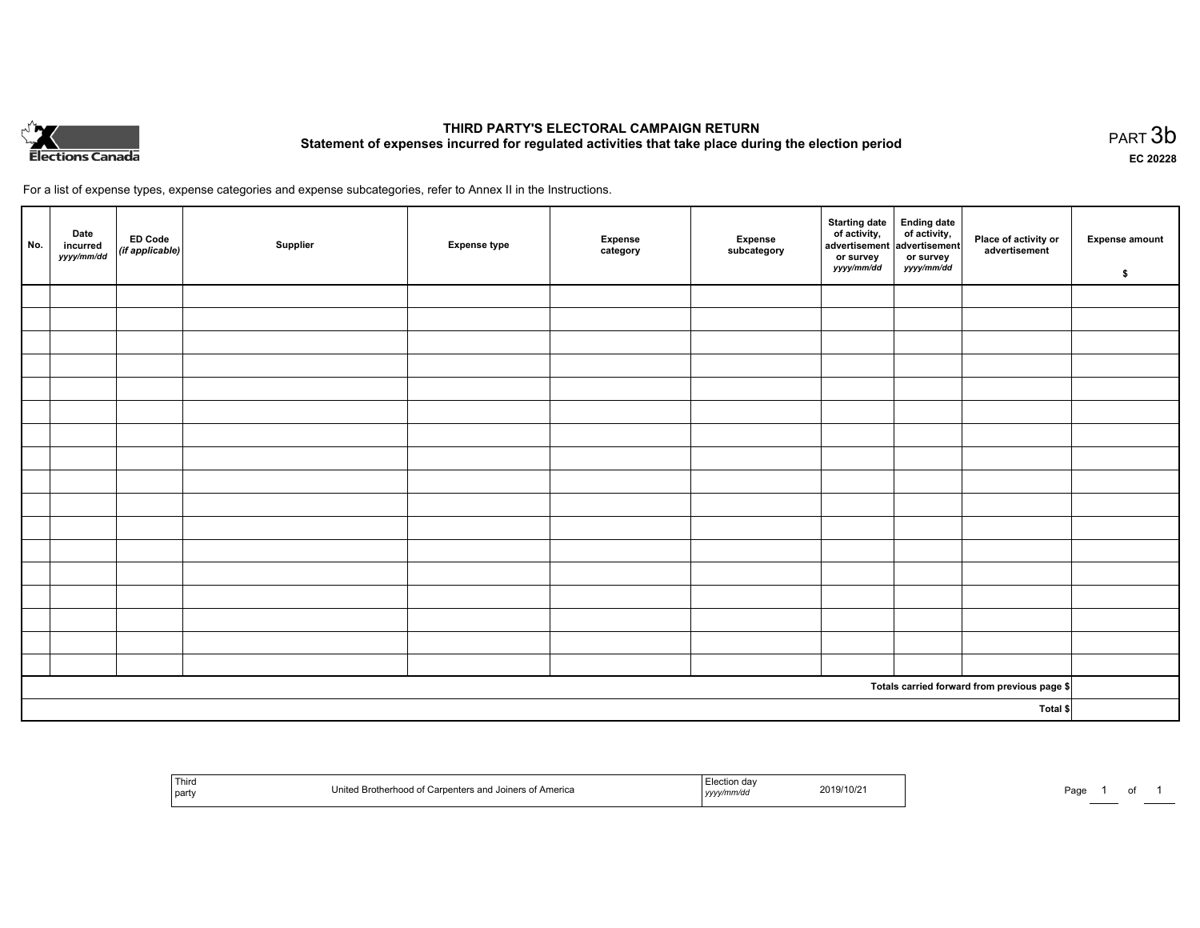

# **THIRD PARTY'S ELECTORAL CAMPAIGN RETURN Statement of expenses incurred for regulated activities that take place during the election period**<br>PART  $3b$

**EC 20228**

For a list of expense types, expense categories and expense subcategories, refer to Annex II in the Instructions.

| No. | Date<br>incurred<br>yyyy/mm/dd | ED Code<br>(if applicable) | Supplier | <b>Expense type</b> | Expense<br>category | Expense<br>subcategory | Starting date Ending date<br>of activity, of activity,<br>advertisement advertisement<br>or survey<br>yyyy/mm/dd | or survey<br>yyyy/mm/dd | Place of activity or<br>advertisement        | <b>Expense amount</b><br>\$ |
|-----|--------------------------------|----------------------------|----------|---------------------|---------------------|------------------------|------------------------------------------------------------------------------------------------------------------|-------------------------|----------------------------------------------|-----------------------------|
|     |                                |                            |          |                     |                     |                        |                                                                                                                  |                         |                                              |                             |
|     |                                |                            |          |                     |                     |                        |                                                                                                                  |                         |                                              |                             |
|     |                                |                            |          |                     |                     |                        |                                                                                                                  |                         |                                              |                             |
|     |                                |                            |          |                     |                     |                        |                                                                                                                  |                         |                                              |                             |
|     |                                |                            |          |                     |                     |                        |                                                                                                                  |                         |                                              |                             |
|     |                                |                            |          |                     |                     |                        |                                                                                                                  |                         |                                              |                             |
|     |                                |                            |          |                     |                     |                        |                                                                                                                  |                         |                                              |                             |
|     |                                |                            |          |                     |                     |                        |                                                                                                                  |                         |                                              |                             |
|     |                                |                            |          |                     |                     |                        |                                                                                                                  |                         |                                              |                             |
|     |                                |                            |          |                     |                     |                        |                                                                                                                  |                         |                                              |                             |
|     |                                |                            |          |                     |                     |                        |                                                                                                                  |                         |                                              |                             |
|     |                                |                            |          |                     |                     |                        |                                                                                                                  |                         |                                              |                             |
|     |                                |                            |          |                     |                     |                        |                                                                                                                  |                         |                                              |                             |
|     |                                |                            |          |                     |                     |                        |                                                                                                                  |                         |                                              |                             |
|     |                                |                            |          |                     |                     |                        |                                                                                                                  |                         |                                              |                             |
|     |                                |                            |          |                     |                     |                        |                                                                                                                  |                         |                                              |                             |
|     |                                |                            |          |                     |                     |                        |                                                                                                                  |                         |                                              |                             |
|     |                                |                            |          |                     |                     |                        |                                                                                                                  |                         | Totals carried forward from previous page \$ |                             |
|     | Total \$                       |                            |          |                     |                     |                        |                                                                                                                  |                         |                                              |                             |

| Third<br>  party | America<br>$M \cap f$ carne<br><b>Ininora</b><br><b>Brothern</b><br>Allenca<br>$-1111$ | ,,,, | 2019/10/2 | ⊶כ<br>-au |
|------------------|----------------------------------------------------------------------------------------|------|-----------|-----------|
|------------------|----------------------------------------------------------------------------------------|------|-----------|-----------|